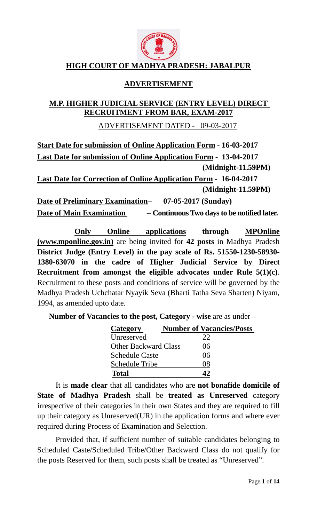

# **HIGH COURT OF MADHYA PRADESH: JABALPUR**

# **ADVERTISEMENT**

## **M.P. HIGHER JUDICIAL SERVICE (ENTRY LEVEL) DIRECT RECRUITMENT FROM BAR, EXAM-2017**

ADVERTISEMENT DATED - 09-03-2017

**Start Date for submission of Online Application Form** - **16-03-2017 Last Date for submission of Online Application Form** - **13-04-2017 (Midnight-11.59PM) Last Date for Correction of Online Application Form** - **16-04-2017 (Midnight-11.59PM)**

**Date of Preliminary Examination**– **07-05-2017 (Sunday) Date of Main Examination** – **Continuous Two days to be notified later.** 

**Only Online applications through MPOnline (www.mponline.gov.in)** are being invited for **42 posts** in Madhya Pradesh **District Judge (Entry Level) in the pay scale of Rs. 51550-1230-58930- 1380-63070 in the cadre of Higher Judicial Service by Direct Recruitment from amongst the eligible advocates under Rule 5(1)(c)**. Recruitment to these posts and conditions of service will be governed by the Madhya Pradesh Uchchatar Nyayik Seva (Bharti Tatha Seva Sharten) Niyam, 1994, as amended upto date.

**Number of Vacancies to the post, Category - wise** are as under –

| Category                    | <b>Number of Vacancies/Posts</b> |
|-----------------------------|----------------------------------|
| Unreserved                  | 22                               |
| <b>Other Backward Class</b> | 06                               |
| <b>Schedule Caste</b>       | 06                               |
| <b>Schedule Tribe</b>       | ΙX                               |
| <b>Total</b>                |                                  |

It is **made clear** that all candidates who are **not bonafide domicile of State of Madhya Pradesh** shall be **treated as Unreserved** category irrespective of their categories in their own States and they are required to fill up their category as Unreserved(UR) in the application forms and where ever required during Process of Examination and Selection.

Provided that, if sufficient number of suitable candidates belonging to Scheduled Caste/Scheduled Tribe/Other Backward Class do not qualify for the posts Reserved for them, such posts shall be treated as "Unreserved".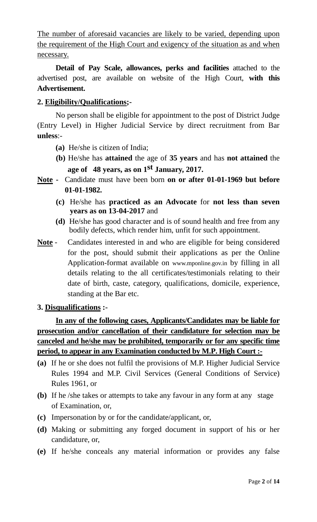The number of aforesaid vacancies are likely to be varied, depending upon the requirement of the High Court and exigency of the situation as and when necessary.

**Detail of Pay Scale, allowances, perks and facilities** attached to the advertised post, are available on website of the High Court, **with this Advertisement.** 

# **2. Eligibility/Qualifications;-**

No person shall be eligible for appointment to the post of District Judge (Entry Level) in Higher Judicial Service by direct recruitment from Bar **unless**:-

- **(a)** He/she is citizen of India;
- **(b)** He/she has **attained** the age of **35 years** and has **not attained** the **age of 48 years, as on 1 st January, 2017.**
- **Note** Candidate must have been born **on or after 01-01-1969 but before 01-01-1982.** 
	- **(c)** He/she has **practiced as an Advocate** for **not less than seven years as on 13-04-2017** and
	- **(d)** He/she has good character and is of sound health and free from any bodily defects, which render him, unfit for such appointment.
- **Note** Candidates interested in and who are eligible for being considered for the post, should submit their applications as per the Online Application-format available on www.mponline.gov.in by filling in all details relating to the all certificates/testimonials relating to their date of birth, caste, category, qualifications, domicile, experience, standing at the Bar etc.

# **3. Disqualifications :-**

**In any of the following cases, Applicants/Candidates may be liable for prosecution and/or cancellation of their candidature for selection may be canceled and he/she may be prohibited, temporarily or for any specific time period, to appear in any Examination conducted by M.P. High Court :-**

- **(a)** If he or she does not fulfil the provisions of M.P. Higher Judicial Service Rules 1994 and M.P. Civil Services (General Conditions of Service) Rules 1961, or
- **(b)** If he /she takes or attempts to take any favour in any form at any stage of Examination, or,
- **(c)** Impersonation by or for the candidate/applicant, or,
- **(d)** Making or submitting any forged document in support of his or her candidature, or,
- **(e)** If he/she conceals any material information or provides any false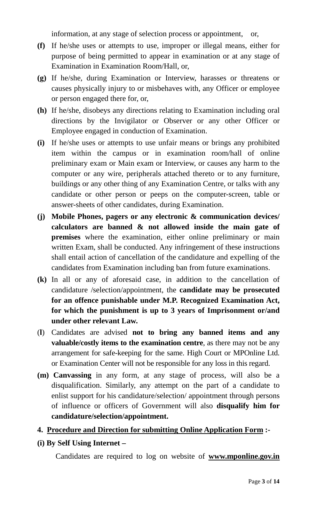information, at any stage of selection process or appointment, or,

- **(f)** If he/she uses or attempts to use, improper or illegal means, either for purpose of being permitted to appear in examination or at any stage of Examination in Examination Room/Hall, or,
- **(g)** If he/she, during Examination or Interview, harasses or threatens or causes physically injury to or misbehaves with, any Officer or employee or person engaged there for, or,
- **(h)** If he/she, disobeys any directions relating to Examination including oral directions by the Invigilator or Observer or any other Officer or Employee engaged in conduction of Examination.
- **(i)** If he/she uses or attempts to use unfair means or brings any prohibited item within the campus or in examination room/hall of online preliminary exam or Main exam or Interview, or causes any harm to the computer or any wire, peripherals attached thereto or to any furniture, buildings or any other thing of any Examination Centre, or talks with any candidate or other person or peeps on the computer-screen, table or answer-sheets of other candidates, during Examination.
- **(j) Mobile Phones, pagers or any electronic & communication devices/ calculators are banned & not allowed inside the main gate of premises** where the examination, either online preliminary or main written Exam, shall be conducted. Any infringement of these instructions shall entail action of cancellation of the candidature and expelling of the candidates from Examination including ban from future examinations.
- **(k)** In all or any of aforesaid case, in addition to the cancellation of candidature /selection/appointment, the **candidate may be prosecuted for an offence punishable under M.P. Recognized Examination Act, for which the punishment is up to 3 years of Imprisonment or/and under other relevant Law.**
- (**l**) Candidates are advised **not to bring any banned items and any valuable/costly items to the examination centre**, as there may not be any arrangement for safe-keeping for the same. High Court or MPOnline Ltd. or Examination Center will not be responsible for any loss in this regard.
- **(m) Canvassing** in any form, at any stage of process, will also be a disqualification. Similarly, any attempt on the part of a candidate to enlist support for his candidature/selection/ appointment through persons of influence or officers of Government will also **disqualify him for candidature/selection/appointment.**

# **4. Procedure and Direction for submitting Online Application Form :-**

# **(i) By Self Using Internet –**

Candidates are required to log on website of **www.mponline.gov.in**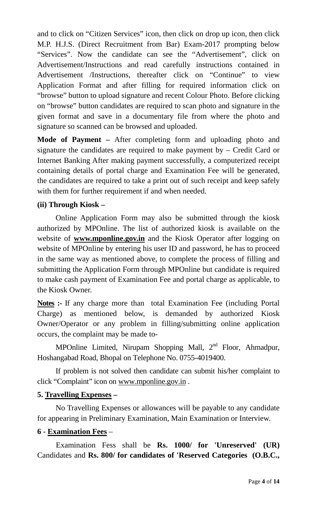and to click on "Citizen Services" icon, then click on drop up icon, then click M.P. H.J.S. (Direct Recruitment from Bar) Exam-2017 prompting below "Services". Now the candidate can see the "Advertisement", click on Advertisement/Instructions and read carefully instructions contained in Advertisement /Instructions, thereafter click on "Continue" to view Application Format and after filling for required information click on "browse" button to upload signature and recent Colour Photo. Before clicking on "browse" button candidates are required to scan photo and signature in the given format and save in a documentary file from where the photo and signature so scanned can be browsed and uploaded.

**Mode of Payment –** After completing form and uploading photo and signature the candidates are required to make payment by – Credit Card or Internet Banking After making payment successfully, a computerized receipt containing details of portal charge and Examination Fee will be generated, the candidates are required to take a print out of such receipt and keep safely with them for further requirement if and when needed.

# **(ii) Through Kiosk –**

Online Application Form may also be submitted through the kiosk authorized by MPOnline. The list of authorized kiosk is available on the website of **www.mponline.gov.in** and the Kiosk Operator after logging on website of MPOnline by entering his user ID and password, he has to proceed in the same way as mentioned above, to complete the process of filling and submitting the Application Form through MPOnline but candidate is required to make cash payment of Examination Fee and portal charge as applicable, to the Kiosk Owner.

Notes :- If any charge more than total Examination Fee (including Portal Charge) as mentioned below, is demanded by authorized Kiosk Owner/Operator or any problem in filling/submitting online application occurs, the complaint may be made to-

MPOnline Limited, Nirupam Shopping Mall,  $2<sup>nd</sup>$  Floor, Ahmadpur, Hoshangabad Road, Bhopal on Telephone No. 0755-4019400.

If problem is not solved then candidate can submit his/her complaint to click "Complaint" icon on www.mponline.gov.in .

# **5. Travelling Expenses –**

No Travelling Expenses or allowances will be payable to any candidate for appearing in Preliminary Examination, Main Examination or Interview.

# **6 - Examination Fees** –

Examination Fess shall be **Rs. 1000/ for 'Unreserved' (UR)**  Candidates and **Rs. 800/ for candidates of 'Reserved Categories (O.B.C.,**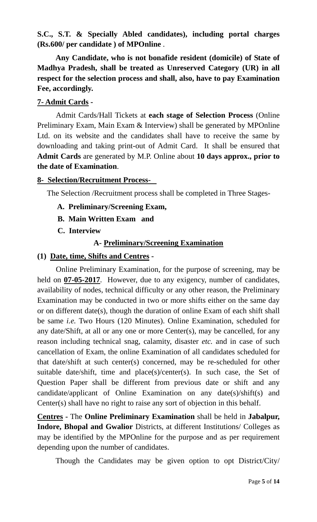**S.C., S.T. & Specially Abled candidates), including portal charges (Rs.600/ per candidate ) of MPOnline** .

**Any Candidate, who is not bonafide resident (domicile) of State of Madhya Pradesh, shall be treated as Unreserved Category (UR) in all respect for the selection process and shall, also, have to pay Examination Fee, accordingly.** 

# **7- Admit Cards -**

Admit Cards/Hall Tickets at **each stage of Selection Process** (Online Preliminary Exam, Main Exam & Interview) shall be generated by MPOnline Ltd. on its website and the candidates shall have to receive the same by downloading and taking print-out of Admit Card. It shall be ensured that **Admit Cards** are generated by M.P. Online about **10 days approx., prior to the date of Examination**.

#### **8- Selection/Recruitment Process-**

The Selection /Recruitment process shall be completed in Three Stages-

- **A. Preliminary/Screening Exam,**
- **B. Main Written Exam and**
- **C. Interview**

# **A- Preliminary/Screening Examination**

#### **(1) Date, time, Shifts and Centres -**

Online Preliminary Examination, for the purpose of screening, may be held on **07-05-2017**. However, due to any exigency, number of candidates, availability of nodes, technical difficulty or any other reason, the Preliminary Examination may be conducted in two or more shifts either on the same day or on different date(s), though the duration of online Exam of each shift shall be same *i.e.* Two Hours (120 Minutes). Online Examination, scheduled for any date/Shift, at all or any one or more Center(s), may be cancelled, for any reason including technical snag, calamity, disaster *etc.* and in case of such cancellation of Exam, the online Examination of all candidates scheduled for that date/shift at such center(s) concerned, may be re-scheduled for other suitable date/shift, time and place(s)/center(s). In such case, the Set of Question Paper shall be different from previous date or shift and any candidate/applicant of Online Examination on any date(s)/shift(s) and Center(s) shall have no right to raise any sort of objection in this behalf.

**Centres -** The **Online Preliminary Examination** shall be held in **Jabalpur, Indore, Bhopal and Gwalior** Districts, at different Institutions/ Colleges as may be identified by the MPOnline for the purpose and as per requirement depending upon the number of candidates.

Though the Candidates may be given option to opt District/City/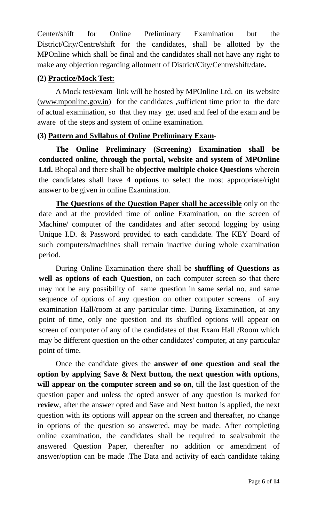Center/shift for Online Preliminary Examination but the District/City/Centre/shift for the candidates, shall be allotted by the MPOnline which shall be final and the candidates shall not have any right to make any objection regarding allotment of District/City/Centre/shift/date**.** 

# **(2) Practice/Mock Test:**

A Mock test/exam link will be hosted by MPOnline Ltd. on its website (www.mponline.gov.in) for the candidates ,sufficient time prior to the date of actual examination, so that they may get used and feel of the exam and be aware of the steps and system of online examination.

# **(3) Pattern and Syllabus of Online Preliminary Exam**-

**The Online Preliminary (Screening) Examination shall be conducted online, through the portal, website and system of MPOnline Ltd.** Bhopal and there shall be **objective multiple choice Questions** wherein the candidates shall have **4 options** to select the most appropriate/right answer to be given in online Examination.

**The Questions of the Question Paper shall be accessible** only on the date and at the provided time of online Examination, on the screen of Machine/ computer of the candidates and after second logging by using Unique I.D. & Password provided to each candidate. The KEY Board of such computers/machines shall remain inactive during whole examination period.

During Online Examination there shall be **shuffling of Questions as well as options of each Question**, on each computer screen so that there may not be any possibility of same question in same serial no. and same sequence of options of any question on other computer screens of any examination Hall/room at any particular time. During Examination, at any point of time, only one question and its shuffled options will appear on screen of computer of any of the candidates of that Exam Hall /Room which may be different question on the other candidates' computer, at any particular point of time.

 Once the candidate gives the **answer of one question and seal the option by applying Save & Next button, the next question with options**, **will appear on the computer screen and so on**, till the last question of the question paper and unless the opted answer of any question is marked for **review**, after the answer opted and Save and Next button is applied, the next question with its options will appear on the screen and thereafter, no change in options of the question so answered, may be made. After completing online examination, the candidates shall be required to seal/submit the answered Question Paper, thereafter no addition or amendment of answer/option can be made .The Data and activity of each candidate taking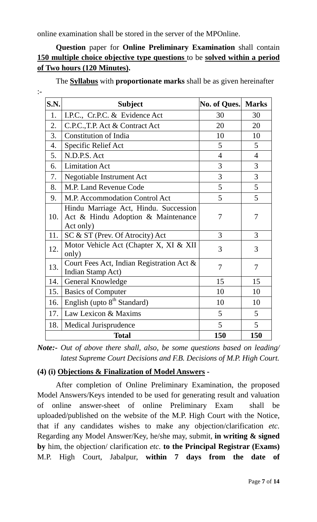online examination shall be stored in the server of the MPOnline.

# **Question** paper for **Online Preliminary Examination** shall contain **150 multiple choice objective type questions** to be **solved within a period of Two hours (120 Minutes).**

The **Syllabus** with **proportionate marks** shall be as given hereinafter

| v.     |  |
|--------|--|
|        |  |
| $\sim$ |  |
|        |  |

| S.N. | <b>Subject</b>                                                                           | No. of Ques.   | <b>Marks</b>   |
|------|------------------------------------------------------------------------------------------|----------------|----------------|
| 1.   | I.P.C., Cr.P.C. & Evidence Act                                                           | 30             | 30             |
| 2.   | C.P.C., T.P. Act & Contract Act                                                          | 20             | 20             |
| 3.   | <b>Constitution of India</b>                                                             | 10             | 10             |
| 4.   | Specific Relief Act                                                                      | 5              | $\mathfrak{S}$ |
| 5.   | N.D.P.S. Act                                                                             | $\overline{4}$ | $\overline{4}$ |
| 6.   | <b>Limitation Act</b>                                                                    | 3              | 3              |
| 7.   | <b>Negotiable Instrument Act</b>                                                         | 3              | 3              |
| 8.   | M.P. Land Revenue Code                                                                   | 5              | 5              |
| 9.   | M.P. Accommodation Control Act                                                           | 5              | 5              |
| 10.  | Hindu Marriage Act, Hindu. Succession<br>Act & Hindu Adoption & Maintenance<br>Act only) | 7              | 7              |
| 11.  | SC & ST (Prev. Of Atrocity) Act                                                          | 3              | 3              |
| 12.  | Motor Vehicle Act (Chapter X, XI & XII<br>only)                                          | 3              | 3              |
| 13.  | Court Fees Act, Indian Registration Act &<br>Indian Stamp Act)                           | 7              | $\overline{7}$ |
| 14.  | General Knowledge                                                                        | 15             | 15             |
| 15.  | <b>Basics of Computer</b>                                                                | 10             | 10             |
| 16.  | English (upto 8 <sup>th</sup> Standard)                                                  | 10             | 10             |
| 17.  | Law Lexicon & Maxims                                                                     | 5              | $\overline{5}$ |
| 18.  | Medical Jurisprudence                                                                    | 5              | $\overline{5}$ |
|      | <b>Total</b>                                                                             | 150            | 150            |

*Note:- Out of above there shall, also, be some questions based on leading/ latest Supreme Court Decisions and F.B. Decisions of M.P. High Court.* 

# **(4) (i) Objections & Finalization of Model Answers -**

After completion of Online Preliminary Examination, the proposed Model Answers/Keys intended to be used for generating result and valuation of online answer-sheet of online Preliminary Exam shall be uploaded/published on the website of the M.P. High Court with the Notice, that if any candidates wishes to make any objection/clarification *etc.* Regarding any Model Answer/Key, he/she may, submit, **in writing & signed by** him, the objection/ clarification *etc.* **to the Principal Registrar (Exams)** M.P. High Court, Jabalpur, **within 7 days from the date of**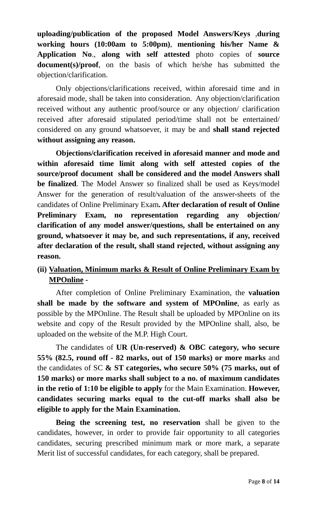**uploading/publication of the proposed Model Answers/Keys** ,**during working hours (10:00am to 5:00pm)**, **mentioning his/her Name & Application No**., **along with self attested** photo copies of **source document(s)/proof**, on the basis of which he/she has submitted the objection/clarification.

Only objections/clarifications received, within aforesaid time and in aforesaid mode, shall be taken into consideration. Any objection/clarification received without any authentic proof/source or any objection/ clarification received after aforesaid stipulated period/time shall not be entertained/ considered on any ground whatsoever, it may be and **shall stand rejected without assigning any reason.** 

**Objections/clarification received in aforesaid manner and mode and within aforesaid time limit along with self attested copies of the source/proof document shall be considered and the model Answers shall be finalized**. The Model Answer so finalized shall be used as Keys/model Answer for the generation of result/valuation of the answer-sheets of the candidates of Online Preliminary Exam**. After declaration of result of Online Preliminary Exam, no representation regarding any objection/ clarification of any model answer/questions, shall be entertained on any ground, whatsoever it may be, and such representations, if any, received after declaration of the result, shall stand rejected, without assigning any reason.** 

# **(ii) Valuation, Minimum marks & Result of Online Preliminary Exam by MPOnline -**

After completion of Online Preliminary Examination, the **valuation shall be made by the software and system of MPOnline**, as early as possible by the MPOnline. The Result shall be uploaded by MPOnline on its website and copy of the Result provided by the MPOnline shall, also, be uploaded on the website of the M.P. High Court.

The candidates of **UR (Un-reserved) & OBC category, who secure 55% (82.5, round off - 82 marks, out of 150 marks) or more marks** and the candidates of SC **& ST categories, who secure 50% (75 marks, out of 150 marks) or more marks shall subject to a no. of maximum candidates in the retio of 1:10 be eligible to apply** for the Main Examination. **However, candidates securing marks equal to the cut-off marks shall also be eligible to apply for the Main Examination.** 

**Being the screening test, no reservation** shall be given to the candidates, however, in order to provide fair opportunity to all categories candidates, securing prescribed minimum mark or more mark, a separate Merit list of successful candidates, for each category, shall be prepared.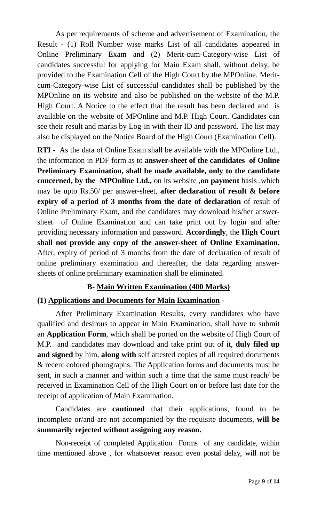As per requirements of scheme and advertisement of Examination, the Result - (1) Roll Number wise marks List of all candidates appeared in Online Preliminary Exam and (2) Merit-cum-Category-wise List of candidates successful for applying for Main Exam shall, without delay, be provided to the Examination Cell of the High Court by the MPOnline. Meritcum-Category-wise List of successful candidates shall be published by the MPOnline on its website and also be published on the website of the M.P. High Court. A Notice to the effect that the result has been declared and is available on the website of MPOnline and M.P. High Court. Candidates can see their result and marks by Log-in with their ID and password. The list may also be displayed on the Notice Board of the High Court (Examination Cell).

**RTI** - As the data of Online Exam shall be available with the MPOnline Ltd., the information in PDF form as to **answer-sheet of the candidates of Online Preliminary Examination, shall be made available, only to the candidate concerned, by the MPOnline Ltd.,** on its website ,**on payment** basis ,which may be upto Rs.50/ per answer-sheet, **after declaration of result & before expiry of a period of 3 months from the date of declaration** of result of Online Preliminary Exam, and the candidates may download his/her answersheet of Online Examination and can take print out by login and after providing necessary information and password. **Accordingly**, the **High Court shall not provide any copy of the answer-sheet of Online Examination.**  After, expiry of period of 3 months from the date of declaration of result of online preliminary examination and thereafter, the data regarding answersheets of online preliminary examination shall be eliminated.

# **B- Main Written Examination (400 Marks)**

# **(1) Applications and Documents for Main Examination -**

After Preliminary Examination Results, every candidates who have qualified and desirous to appear in Main Examination, shall have to submit an **Application Form**, which shall be ported on the website of High Court of M.P. and candidates may download and take print out of it, **duly filed up and signed** by him, **along with** self attested copies of all required documents & recent colored photographs. The Application forms and documents must be sent, in such a manner and within such a time that the same must reach/ be received in Examination Cell of the High Court on or before last date for the receipt of application of Main Examination.

Candidates are **cautioned** that their applications, found to be incomplete or/and are not accompanied by the requisite documents, **will be summarily rejected without assigning any reason.** 

Non-receipt of completed Application Forms of any candidate, within time mentioned above , for whatsoever reason even postal delay, will not be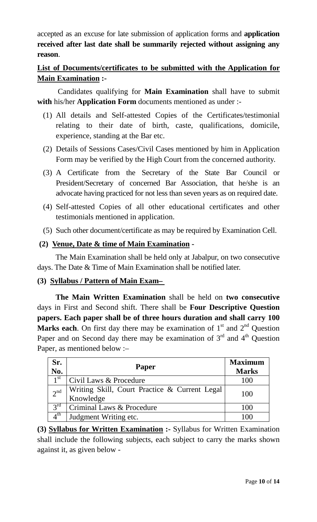accepted as an excuse for late submission of application forms and **application received after last date shall be summarily rejected without assigning any reason**.

# **List of Documents/certificates to be submitted with the Application for Main Examination :-**

 Candidates qualifying for **Main Examination** shall have to submit **with** his/her **Application Form** documents mentioned as under :-

- (1) All details and Self-attested Copies of the Certificates/testimonial relating to their date of birth, caste, qualifications, domicile, experience, standing at the Bar etc.
- (2) Details of Sessions Cases/Civil Cases mentioned by him in Application Form may be verified by the High Court from the concerned authority.
- (3) A Certificate from the Secretary of the State Bar Council or President/Secretary of concerned Bar Association, that he/she is an advocate having practiced for not less than seven years as on required date.
- (4) Self-attested Copies of all other educational certificates and other testimonials mentioned in application.
- (5) Such other document/certificate as may be required by Examination Cell.

# **(2) Venue, Date & time of Main Examination -**

The Main Examination shall be held only at Jabalpur, on two consecutive days. The Date & Time of Main Examination shall be notified later.

# **(3) Syllabus / Pattern of Main Exam–**

**The Main Written Examination** shall be held on **two consecutive** days in First and Second shift. There shall be **Four Descriptive Question papers. Each paper shall be of three hours duration and shall carry 100 Marks each**. On first day there may be examination of  $1<sup>st</sup>$  and  $2<sup>nd</sup>$  Question Paper and on Second day there may be examination of  $3<sup>rd</sup>$  and  $4<sup>th</sup>$  Question Paper, as mentioned below :–

| Sr.<br>$\mathbf{N}\mathbf{0}$ . | <b>Paper</b>                                               | <b>Maximum</b><br><b>Marks</b> |
|---------------------------------|------------------------------------------------------------|--------------------------------|
| $1^{\rm st}$                    | Civil Laws & Procedure                                     | 100                            |
| 2 <sup>nd</sup>                 | Writing Skill, Court Practice & Current Legal<br>Knowledge | 100                            |
| $3^{\text{rd}}$                 | Criminal Laws & Procedure                                  | 100                            |
| $4^{\text{th}}$                 | Judgment Writing etc.                                      | 100                            |

**(3) Syllabus for Written Examination :-** Syllabus for Written Examination shall include the following subjects, each subject to carry the marks shown against it, as given below -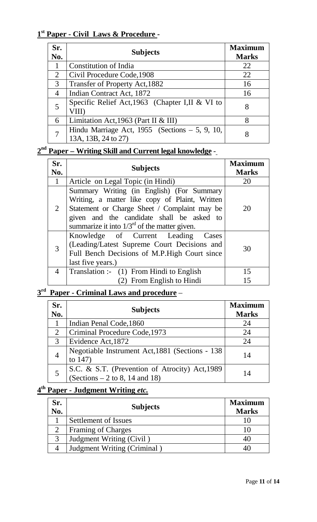# **1 st Paper - Civil Laws & Procedure -**

| Sr.<br>No. | <b>Subjects</b>                                                           | <b>Maximum</b><br><b>Marks</b> |
|------------|---------------------------------------------------------------------------|--------------------------------|
|            | Constitution of India                                                     | 22                             |
| 2          | Civil Procedure Code, 1908                                                | 22                             |
| 3          | Transfer of Property Act, 1882                                            | 16                             |
| 4          | Indian Contract Act, 1872                                                 | 16                             |
|            | Specific Relief Act, 1963 (Chapter I, II & VI to<br>VIII)                 | 8                              |
| 6          | Limitation Act, 1963 (Part II & III)                                      | 8                              |
|            | Hindu Marriage Act, $1955$ (Sections $-5$ , 9, 10,<br>13A, 13B, 24 to 27) |                                |

# **2 nd Paper – Writing Skill and Current legal knowledge** -

| Sr.<br>No.      | <b>Subjects</b>                                                                                                                                                                                                                               | <b>Maximum</b><br><b>Marks</b> |
|-----------------|-----------------------------------------------------------------------------------------------------------------------------------------------------------------------------------------------------------------------------------------------|--------------------------------|
| $\vert 1 \vert$ | Article on Legal Topic (in Hindi)                                                                                                                                                                                                             | 20                             |
| $\overline{2}$  | Summary Writing (in English) (For Summary<br>Writing, a matter like copy of Plaint, Written<br>Statement or Charge Sheet / Complaint may be<br>given and the candidate shall be asked to<br>summarize it into $1/3^{rd}$ of the matter given. | 20                             |
| 3               | Knowledge of Current Leading Cases<br>(Leading/Latest Supreme Court Decisions and<br>Full Bench Decisions of M.P.High Court since<br>last five years.)                                                                                        | 30                             |
| 4               | Translation :- (1) From Hindi to English                                                                                                                                                                                                      | 15                             |
|                 | (2) From English to Hindi                                                                                                                                                                                                                     | 15                             |

# **3 rd Paper - Criminal Laws and procedure** –

| Sr.<br>No.     | <b>Subjects</b>                                                                    | <b>Maximum</b><br><b>Marks</b> |
|----------------|------------------------------------------------------------------------------------|--------------------------------|
|                | Indian Penal Code, 1860                                                            | 24                             |
| $\overline{2}$ | Criminal Procedure Code, 1973                                                      | 24                             |
| 3              | Evidence Act, 1872                                                                 | 24                             |
| 4              | Negotiable Instrument Act, 1881 (Sections - 138)<br>to $147$ )                     | 14                             |
|                | S.C. & S.T. (Prevention of Atrocity) Act, 1989<br>$(Sections - 2 to 8, 14 and 18)$ | 14                             |

# **4 th Paper - Judgment Writing** *etc.*

| Sr.<br>No. | <b>Subjects</b>             | <b>Maximum</b><br><b>Marks</b> |
|------------|-----------------------------|--------------------------------|
|            | Settlement of Issues        |                                |
|            | <b>Framing of Charges</b>   |                                |
|            | Judgment Writing (Civil)    |                                |
|            | Judgment Writing (Criminal) |                                |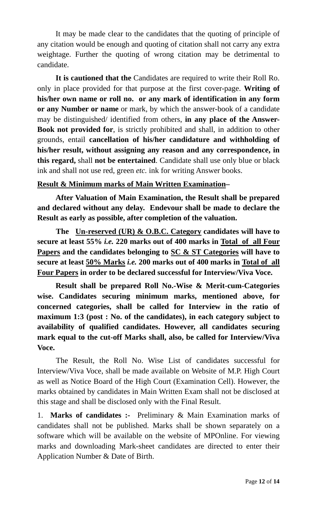It may be made clear to the candidates that the quoting of principle of any citation would be enough and quoting of citation shall not carry any extra weightage. Further the quoting of wrong citation may be detrimental to candidate.

**It is cautioned that the** Candidates are required to write their Roll Ro. only in place provided for that purpose at the first cover-page. **Writing of his/her own name or roll no. or any mark of identification in any form or any Number or name** or mark, by which the answer-book of a candidate may be distinguished/ identified from others, **in any place of the Answer-Book not provided for**, is strictly prohibited and shall, in addition to other grounds, entail **cancellation of his/her candidature and withholding of his/her result, without assigning any reason and any correspondence, in this regard,** shall **not be entertained**. Candidate shall use only blue or black ink and shall not use red, green *etc.* ink for writing Answer books.

#### **Result & Minimum marks of Main Written Examination–**

**After Valuation of Main Examination, the Result shall be prepared and declared without any delay. Endevour shall be made to declare the Result as early as possible, after completion of the valuation.** 

**The Un-reserved (UR) & O.B.C. Category candidates will have to secure at least 55%** *i.e.* **220 marks out of 400 marks in Total of all Four Papers and the candidates belonging to SC & ST Categories will have to secure at least 50% Marks** *i.e.* **200 marks out of 400 marks in Total of all Four Papers in order to be declared successful for Interview/Viva Voce.** 

**Result shall be prepared Roll No.-Wise & Merit-cum-Categories wise. Candidates securing minimum marks, mentioned above, for concerned categories, shall be called for Interview in the ratio of maximum 1:3 (post : No. of the candidates), in each category subject to availability of qualified candidates. However, all candidates securing mark equal to the cut-off Marks shall, also, be called for Interview/Viva Voce.** 

The Result, the Roll No. Wise List of candidates successful for Interview/Viva Voce, shall be made available on Website of M.P. High Court as well as Notice Board of the High Court (Examination Cell). However, the marks obtained by candidates in Main Written Exam shall not be disclosed at this stage and shall be disclosed only with the Final Result.

1. **Marks of candidates :-** Preliminary & Main Examination marks of candidates shall not be published. Marks shall be shown separately on a software which will be available on the website of MPOnline. For viewing marks and downloading Mark-sheet candidates are directed to enter their Application Number & Date of Birth.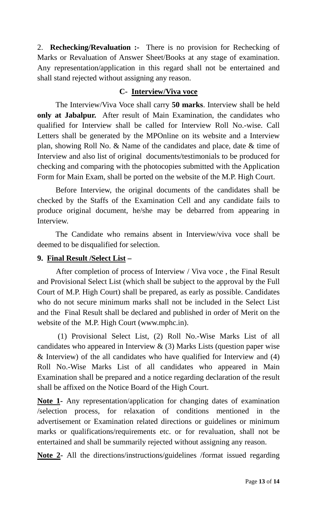2. **Rechecking/Revaluation :-** There is no provision for Rechecking of Marks or Revaluation of Answer Sheet/Books at any stage of examination. Any representation/application in this regard shall not be entertained and shall stand rejected without assigning any reason.

# **C- Interview/Viva voce**

The Interview/Viva Voce shall carry **50 marks**. Interview shall be held **only at Jabalpur.** After result of Main Examination, the candidates who qualified for Interview shall be called for Interview Roll No.-wise. Call Letters shall be generated by the MPOnline on its website and a Interview plan, showing Roll No. & Name of the candidates and place, date & time of Interview and also list of original documents/testimonials to be produced for checking and comparing with the photocopies submitted with the Application Form for Main Exam, shall be ported on the website of the M.P. High Court.

Before Interview, the original documents of the candidates shall be checked by the Staffs of the Examination Cell and any candidate fails to produce original document, he/she may be debarred from appearing in Interview.

The Candidate who remains absent in Interview/viva voce shall be deemed to be disqualified for selection.

# **9. Final Result /Select List –**

After completion of process of Interview / Viva voce , the Final Result and Provisional Select List (which shall be subject to the approval by the Full Court of M.P. High Court) shall be prepared, as early as possible. Candidates who do not secure minimum marks shall not be included in the Select List and the Final Result shall be declared and published in order of Merit on the website of the M.P. High Court (www.mphc.in).

 (1) Provisional Select List, (2) Roll No.-Wise Marks List of all candidates who appeared in Interview  $\&$  (3) Marks Lists (question paper wise & Interview) of the all candidates who have qualified for Interview and (4) Roll No.-Wise Marks List of all candidates who appeared in Main Examination shall be prepared and a notice regarding declaration of the result shall be affixed on the Notice Board of the High Court.

**Note 1-** Any representation/application for changing dates of examination /selection process, for relaxation of conditions mentioned in the advertisement or Examination related directions or guidelines or minimum marks or qualifications/requirements etc. or for revaluation, shall not be entertained and shall be summarily rejected without assigning any reason.

**Note 2-** All the directions/instructions/guidelines /format issued regarding